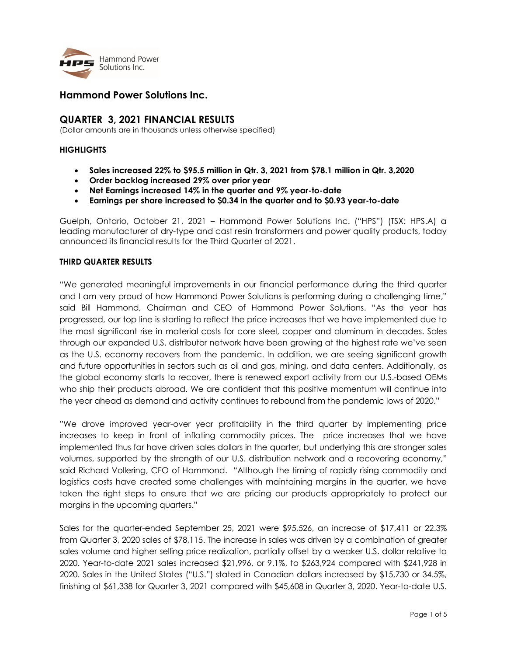

# Hammond Power Solutions Inc.

## QUARTER 3, 2021 FINANCIAL RESULTS

(Dollar amounts are in thousands unless otherwise specified)

### **HIGHLIGHTS**

- $\bullet$  Sales increased 22% to \$95.5 million in Qtr. 3, 2021 from \$78.1 million in Qtr. 3,2020
- Order backlog increased 29% over prior year
- Net Earnings increased 14% in the quarter and 9% year-to-date
- Earnings per share increased to \$0.34 in the quarter and to \$0.93 year-to-date

Guelph, Ontario, October 21, 2021 – Hammond Power Solutions Inc. ("HPS") (TSX: HPS.A) a leading manufacturer of dry-type and cast resin transformers and power quality products, today announced its financial results for the Third Quarter of 2021.

### THIRD QUARTER RESULTS

"We generated meaningful improvements in our financial performance during the third quarter and I am very proud of how Hammond Power Solutions is performing during a challenging time," said Bill Hammond, Chairman and CEO of Hammond Power Solutions. "As the year has progressed, our top line is starting to reflect the price increases that we have implemented due to the most significant rise in material costs for core steel, copper and aluminum in decades. Sales through our expanded U.S. distributor network have been growing at the highest rate we've seen as the U.S. economy recovers from the pandemic. In addition, we are seeing significant growth and future opportunities in sectors such as oil and gas, mining, and data centers. Additionally, as the global economy starts to recover, there is renewed export activity from our U.S.-based OEMs who ship their products abroad. We are confident that this positive momentum will continue into the year ahead as demand and activity continues to rebound from the pandemic lows of 2020."

"We drove improved year-over year profitability in the third quarter by implementing price increases to keep in front of inflating commodity prices. The price increases that we have implemented thus far have driven sales dollars in the quarter, but underlying this are stronger sales volumes, supported by the strength of our U.S. distribution network and a recovering economy," said Richard Vollering, CFO of Hammond. "Although the timing of rapidly rising commodity and logistics costs have created some challenges with maintaining margins in the quarter, we have taken the right steps to ensure that we are pricing our products appropriately to protect our margins in the upcoming quarters."

Sales for the quarter-ended September 25, 2021 were \$95,526, an increase of \$17,411 or 22.3% from Quarter 3, 2020 sales of \$78,115. The increase in sales was driven by a combination of greater sales volume and higher selling price realization, partially offset by a weaker U.S. dollar relative to 2020. Year-to-date 2021 sales increased \$21,996, or 9.1%, to \$263,924 compared with \$241,928 in 2020. Sales in the United States ("U.S.") stated in Canadian dollars increased by \$15,730 or 34.5%, finishing at \$61,338 for Quarter 3, 2021 compared with \$45,608 in Quarter 3, 2020. Year-to-date U.S.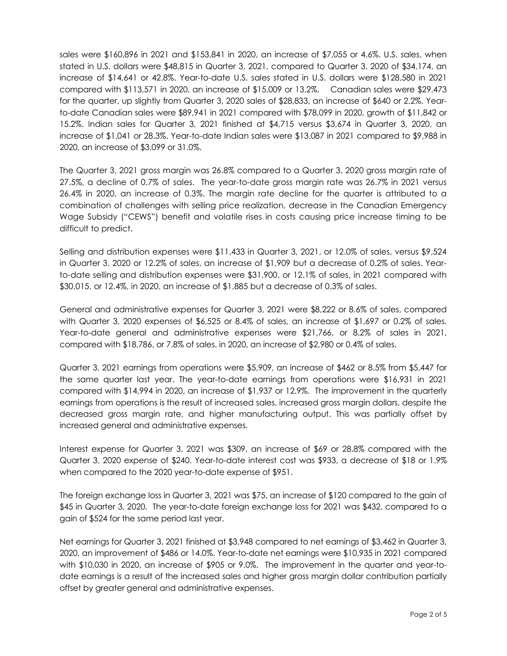sales were \$160,896 in 2021 and \$153,841 in 2020, an increase of \$7,055 or 4.6%. U.S. sales, when stated in U.S. dollars were \$48,815 in Quarter 3, 2021, compared to Quarter 3, 2020 of \$34,174, an increase of \$14,641 or 42.8%. Year-to-date U.S. sales stated in U.S. dollars were \$128,580 in 2021 compared with \$113,571 in 2020, an increase of \$15,009 or 13.2%. Canadian sales were \$29,473 for the quarter, up slightly from Quarter 3, 2020 sales of \$28,833, an increase of \$640 or 2.2%. Yearto-date Canadian sales were \$89,941 in 2021 compared with \$78,099 in 2020, growth of \$11,842 or 15.2%. Indian sales for Quarter 3, 2021 finished at \$4,715 versus \$3,674 in Quarter 3, 2020, an increase of \$1,041 or 28.3%. Year-to-date Indian sales were \$13,087 in 2021 compared to \$9,988 in 2020, an increase of \$3,099 or 31.0%.

The Quarter 3, 2021 gross margin was 26.8% compared to a Quarter 3, 2020 gross margin rate of 27.5%, a decline of 0.7% of sales. The year-to-date gross margin rate was 26.7% in 2021 versus 26.4% in 2020, an increase of 0.3%. The margin rate decline for the quarter is attributed to a combination of challenges with selling price realization, decrease in the Canadian Emergency Wage Subsidy ("CEWS") benefit and volatile rises in costs causing price increase timing to be difficult to predict.

Selling and distribution expenses were \$11,433 in Quarter 3, 2021, or 12.0% of sales, versus \$9,524 in Quarter 3, 2020 or 12.2% of sales, an increase of \$1,909 but a decrease of 0.2% of sales. Yearto-date selling and distribution expenses were \$31,900, or 12.1% of sales, in 2021 compared with \$30,015, or 12.4%, in 2020, an increase of \$1,885 but a decrease of 0.3% of sales.

General and administrative expenses for Quarter 3, 2021 were \$8,222 or 8.6% of sales, compared with Quarter 3, 2020 expenses of \$6,525 or 8.4% of sales, an increase of \$1,697 or 0.2% of sales. Year-to-date general and administrative expenses were \$21,766, or 8.2% of sales in 2021, compared with \$18,786, or 7.8% of sales, in 2020, an increase of \$2,980 or 0.4% of sales.

Quarter 3, 2021 earnings from operations were \$5,909, an increase of \$462 or 8.5% from \$5,447 for the same quarter last year. The year-to-date earnings from operations were \$16,931 in 2021 compared with \$14,994 in 2020, an increase of \$1,937 or 12.9%. The improvement in the quarterly earnings from operations is the result of increased sales, increased gross margin dollars, despite the decreased gross margin rate, and higher manufacturing output. This was partially offset by increased general and administrative expenses.

Interest expense for Quarter 3, 2021 was \$309, an increase of \$69 or 28.8% compared with the Quarter 3, 2020 expense of \$240. Year-to-date interest cost was \$933, a decrease of \$18 or 1.9% when compared to the 2020 year-to-date expense of \$951.

The foreign exchange loss in Quarter 3, 2021 was \$75, an increase of \$120 compared to the gain of \$45 in Quarter 3, 2020. The year-to-date foreign exchange loss for 2021 was \$432, compared to a gain of \$524 for the same period last year.

Net earnings for Quarter 3, 2021 finished at \$3,948 compared to net earnings of \$3,462 in Quarter 3, 2020, an improvement of \$486 or 14.0%. Year-to-date net earnings were \$10,935 in 2021 compared with \$10,030 in 2020, an increase of \$905 or 9.0%. The improvement in the quarter and year-todate earnings is a result of the increased sales and higher gross margin dollar contribution partially offset by greater general and administrative expenses.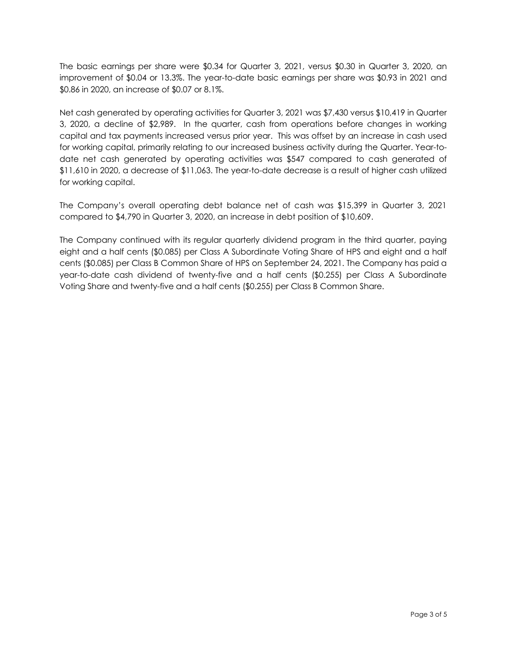The basic earnings per share were \$0.34 for Quarter 3, 2021, versus \$0.30 in Quarter 3, 2020, an improvement of \$0.04 or 13.3%. The year-to-date basic earnings per share was \$0.93 in 2021 and \$0.86 in 2020, an increase of \$0.07 or 8.1%.

Net cash generated by operating activities for Quarter 3, 2021 was \$7,430 versus \$10,419 in Quarter 3, 2020, a decline of \$2,989. In the quarter, cash from operations before changes in working capital and tax payments increased versus prior year. This was offset by an increase in cash used for working capital, primarily relating to our increased business activity during the Quarter. Year-todate net cash generated by operating activities was \$547 compared to cash generated of \$11,610 in 2020, a decrease of \$11,063. The year-to-date decrease is a result of higher cash utilized for working capital.

The Company's overall operating debt balance net of cash was \$15,399 in Quarter 3, 2021 compared to \$4,790 in Quarter 3, 2020, an increase in debt position of \$10,609.

The Company continued with its regular quarterly dividend program in the third quarter, paying eight and a half cents (\$0.085) per Class A Subordinate Voting Share of HPS and eight and a half cents (\$0.085) per Class B Common Share of HPS on September 24, 2021. The Company has paid a year-to-date cash dividend of twenty-five and a half cents (\$0.255) per Class A Subordinate Voting Share and twenty-five and a half cents (\$0.255) per Class B Common Share.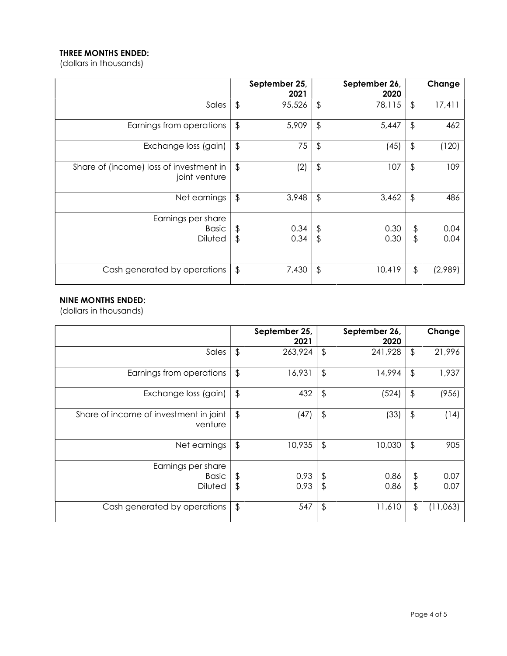# THREE MONTHS ENDED:

(dollars in thousands)

|                                                          |                         | September 25,<br>2021 |                                 | September 26,<br>2020 |                      | Change       |
|----------------------------------------------------------|-------------------------|-----------------------|---------------------------------|-----------------------|----------------------|--------------|
| Sales                                                    | $\frac{1}{2}$           | 95,526                | $\updownarrow$                  | 78,115                | $\frac{1}{2}$        | 17,411       |
| Earnings from operations                                 | $\frac{1}{2}$           | 5,909                 | $\frac{1}{2}$                   | 5,447                 | $\frac{1}{2}$        | 462          |
| Exchange loss (gain)                                     | $\frac{1}{2}$           | 75                    | \$                              | (45)                  | \$                   | (120)        |
| Share of (income) loss of investment in<br>joint venture | $\sqrt[6]{\frac{1}{2}}$ | (2)                   | $\frac{1}{2}$                   | 107                   | $\frac{1}{2}$        | 109          |
| Net earnings                                             | $\frac{1}{2}$           | 3,948                 | $\frac{1}{2}$                   | 3,462                 | $\frac{1}{2}$        | 486          |
| Earnings per share<br><b>Basic</b><br>Diluted            | \$<br>\$                | 0.34<br>0.34          | $\updownarrow$<br>$\frac{1}{2}$ | 0.30<br>0.30          | \$<br>$\updownarrow$ | 0.04<br>0.04 |
| Cash generated by operations                             | $\sqrt[6]{\frac{1}{2}}$ | 7,430                 | $\frac{1}{2}$                   | 10,419                | $\frac{1}{2}$        | (2,989)      |

## NINE MONTHS ENDED:

(dollars in thousands)

|                                                      |               | September 25,<br>2021 |                     | September 26,<br>2020 |               | Change       |
|------------------------------------------------------|---------------|-----------------------|---------------------|-----------------------|---------------|--------------|
| Sales                                                | $\frac{1}{2}$ | 263,924               | $\frac{1}{2}$       | 241,928               | $\frac{1}{2}$ | 21,996       |
| Earnings from operations                             | $\frac{1}{2}$ | 16,931                | $\frac{1}{2}$       | 14,994                | $\frac{1}{2}$ | 1,937        |
| Exchange loss (gain)                                 | $\frac{1}{2}$ | 432                   | $\frac{1}{2}$       | (524)                 | $\frac{1}{2}$ | (956)        |
| Share of income of investment in joint<br>venture    | $\frac{1}{2}$ | (47)                  | $\frac{1}{2}$       | (33)                  | $\frac{1}{2}$ | (14)         |
| Net earnings                                         | $\frac{1}{2}$ | 10,935                | $\frac{1}{2}$       | 10,030                | $\frac{1}{2}$ | 905          |
| Earnings per share<br><b>Basic</b><br><b>Diluted</b> | \$<br>\$      | 0.93<br>0.93          | $\frac{1}{2}$<br>\$ | 0.86<br>0.86          | \$<br>\$      | 0.07<br>0.07 |
| Cash generated by operations                         | $\frac{1}{2}$ | 547                   | \$                  | 11,610                | \$            | (11,063)     |